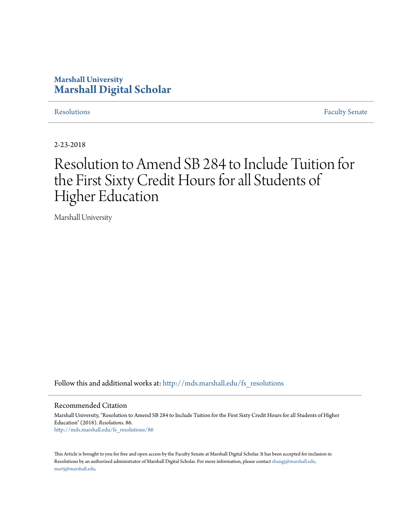## **Marshall University [Marshall Digital Scholar](http://mds.marshall.edu?utm_source=mds.marshall.edu%2Ffs_resolutions%2F86&utm_medium=PDF&utm_campaign=PDFCoverPages)**

[Resolutions](http://mds.marshall.edu/fs_resolutions?utm_source=mds.marshall.edu%2Ffs_resolutions%2F86&utm_medium=PDF&utm_campaign=PDFCoverPages) [Faculty Senate](http://mds.marshall.edu/fs?utm_source=mds.marshall.edu%2Ffs_resolutions%2F86&utm_medium=PDF&utm_campaign=PDFCoverPages)

2-23-2018

# Resolution to Amend SB 284 to Include Tuition for the First Sixty Credit Hours for all Students of Higher Education

Marshall University

Follow this and additional works at: [http://mds.marshall.edu/fs\\_resolutions](http://mds.marshall.edu/fs_resolutions?utm_source=mds.marshall.edu%2Ffs_resolutions%2F86&utm_medium=PDF&utm_campaign=PDFCoverPages)

### Recommended Citation

Marshall University, "Resolution to Amend SB 284 to Include Tuition for the First Sixty Credit Hours for all Students of Higher Education" (2018). *Resolutions*. 86. [http://mds.marshall.edu/fs\\_resolutions/86](http://mds.marshall.edu/fs_resolutions/86?utm_source=mds.marshall.edu%2Ffs_resolutions%2F86&utm_medium=PDF&utm_campaign=PDFCoverPages)

This Article is brought to you for free and open access by the Faculty Senate at Marshall Digital Scholar. It has been accepted for inclusion in Resolutions by an authorized administrator of Marshall Digital Scholar. For more information, please contact [zhangj@marshall.edu,](mailto:zhangj@marshall.edu,%20martj@marshall.edu) [martj@marshall.edu](mailto:zhangj@marshall.edu,%20martj@marshall.edu).